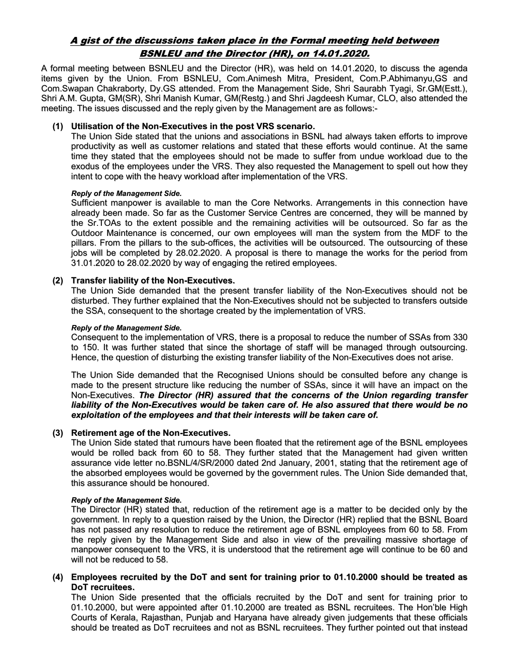# A gist of the discussions taken place in the Formal meeting held between BSNLEU and the Director (HR), on 14.01.2020.

A formal meeting between BSNLEU and the Director (HR), was held on 14.01.2020, to discuss the agenda items given by the Union. From BSNLEU, Com.Animesh Mitra, President, Com.P.Abhimanyu,GS and Com.Swapan Chakraborty, Dy.GS attended. From the Management Side, Shri Saurabh Tyagi, Sr.GM(Estt.), Shri A.M. Gupta, GM(SR), Shri Manish Kumar, GM(Restg.) and Shri Jagdeesh Kumar, CLO, also attended the meeting. The issues discussed and the reply given by the Management are as follows:-

## (1) Utilisation of the Non-Executives in the post VRS scenario.

The Union Side stated that the unions and associations in BSNL had always taken efforts to improve productivity as well as customer relations and stated that these efforts would continue. At the same time they stated that the employees should not be made to suffer from undue workload due to the exodus of the employees under the VRS. They also requested the Management to spell out how they intent to cope with the heavy workload after implementation of the VRS.

## Reply of the Management Side.

Sufficient manpower is available to man the Core Networks. Arrangements in this connection have already been made. So far as the Customer Service Centres are concerned, they will be manned by the Sr.TOAs to the extent possible and the remaining activities will be outsourced. So far as the Outdoor Maintenance is concerned, our own employees will man the system from the MDF to the pillars. From the pillars to the sub-offices, the activities will be outsourced. The outsourcing of these jobs will be completed by 28.02.2020. A proposal is there to manage the works for the period from 31.01.2020 to 28.02.2020 by way of engaging the retired employees.

## (2) Transfer liability of the Non-Executives.

The Union Side demanded that the present transfer liability of the Non-Executives should not be disturbed. They further explained that the Non-Executives should not be subjected to transfers outside the SSA, consequent to the shortage created by the implementation of VRS.

#### Reply of the Management Side.

Consequent to the implementation of VRS, there is a proposal to reduce the number of SSAs from 330 to 150. It was further stated that since the shortage of staff will be managed through outsourcing. Hence, the question of disturbing the existing transfer liability of the Non-Executives does not arise.

The Union Side demanded that the Recognised Unions should be consulted before any change is made to the present structure like reducing the number of SSAs, since it will have an impact on the Non-Executives. The Director (HR) assured that the concerns of the Union regarding transfer liability of the Non-Executives would be taken care of. He also assured that there would be no exploitation of the employees and that their interests will be taken care of.

## (3) Retirement age of the Non-Executives.

The Union Side stated that rumours have been floated that the retirement age of the BSNL employees would be rolled back from 60 to 58. They further stated that the Management had given written assurance vide letter no.BSNL/4/SR/2000 dated 2nd January, 2001, stating that the retirement age of the absorbed employees would be governed by the government rules. The Union Side demanded that, this assurance should be honoured.

## Reply of the Management Side.

The Director (HR) stated that, reduction of the retirement age is a matter to be decided only by the government. In reply to a question raised by the Union, the Director (HR) replied that the BSNL Board has not passed any resolution to reduce the retirement age of BSNL employees from 60 to 58. From the reply given by the Management Side and also in view of the prevailing massive shortage of manpower consequent to the VRS, it is understood that the retirement age will continue to be 60 and will not be reduced to 58.

## (4) Employees recruited by the DoT and sent for training prior to 01.10.2000 should be treated as DoT recruitees.

The Union Side presented that the officials recruited by the DoT and sent for training prior to 01.10.2000, but were appointed after 01.10.2000 are treated as BSNL recruitees. The Hon'ble High Courts of Kerala, Rajasthan, Punjab and Haryana have already given judgements that these officials should be treated as DoT recruitees and not as BSNL recruitees. They further pointed out that instead